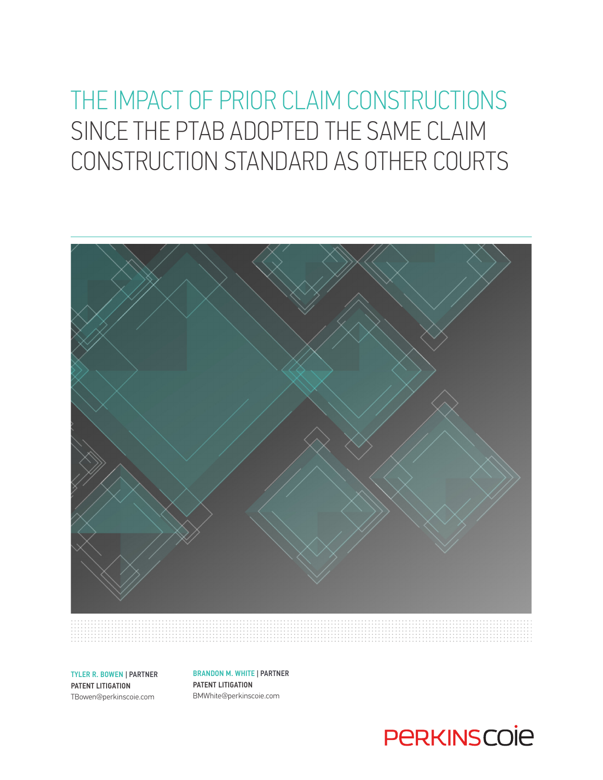# THE IMPACT OF PRIOR CLAIM CONSTRUCTIONS SINCE THE PTAB ADOPTED THE SAME CLAIM CONSTRUCTION STANDARD AS OTHER COURTS



TYLER R. BOWEN | PARTNER

PATENT LITIGATION TBowen@perkinscoie.com BRANDON M. WHITE | PARTNER PATENT LITIGATION BMWhite@perkinscoie.com

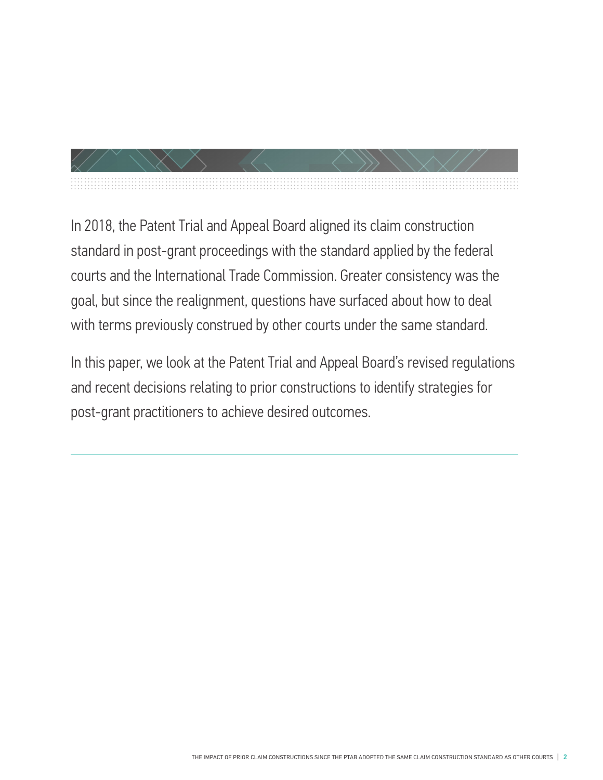In 2018, the Patent Trial and Appeal Board aligned its claim construction standard in post-grant proceedings with the standard applied by the federal courts and the International Trade Commission. Greater consistency was the goal, but since the realignment, questions have surfaced about how to deal with terms previously construed by other courts under the same standard.

In this paper, we look at the Patent Trial and Appeal Board's revised regulations and recent decisions relating to prior constructions to identify strategies for post-grant practitioners to achieve desired outcomes.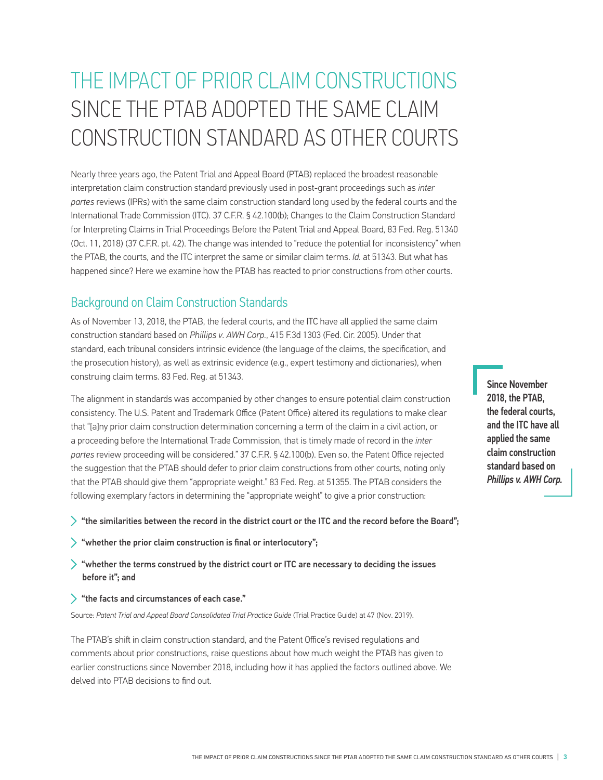# THE IMPACT OF PRIOR CLAIM CONSTRUCTIONS SINCE THE PTAB ADOPTED THE SAME CLAIM CONSTRUCTION STANDARD AS OTHER COURTS

Nearly three years ago, the Patent Trial and Appeal Board (PTAB) replaced the broadest reasonable interpretation claim construction standard previously used in post-grant proceedings such as *inter partes* reviews (IPRs) with the same claim construction standard long used by the federal courts and the International Trade Commission (ITC). 37 C.F.R. § 42.100(b); Changes to the Claim Construction Standard for Interpreting Claims in Trial Proceedings Before the Patent Trial and Appeal Board, 83 Fed. Reg. 51340 (Oct. 11, 2018) (37 C.F.R. pt. 42). The change was intended to "reduce the potential for inconsistency" when the PTAB, the courts, and the ITC interpret the same or similar claim terms. *Id.* at 51343. But what has happened since? Here we examine how the PTAB has reacted to prior constructions from other courts.

# Background on Claim Construction Standards

As of November 13, 2018, the PTAB, the federal courts, and the ITC have all applied the same claim construction standard based on *Phillips v. AWH Corp.*, 415 F.3d 1303 (Fed. Cir. 2005). Under that standard, each tribunal considers intrinsic evidence (the language of the claims, the specification, and the prosecution history), as well as extrinsic evidence (e.g., expert testimony and dictionaries), when construing claim terms. 83 Fed. Reg. at 51343.

The alignment in standards was accompanied by other changes to ensure potential claim construction consistency. The U.S. Patent and Trademark Office (Patent Office) altered its regulations to make clear that "[a]ny prior claim construction determination concerning a term of the claim in a civil action, or a proceeding before the International Trade Commission, that is timely made of record in the *inter partes* review proceeding will be considered." 37 C.F.R. § 42.100(b). Even so, the Patent Office rejected the suggestion that the PTAB should defer to prior claim constructions from other courts, noting only that the PTAB should give them "appropriate weight." 83 Fed. Reg. at 51355. The PTAB considers the following exemplary factors in determining the "appropriate weight" to give a prior construction:

- $>$  "the similarities between the record in the district court or the ITC and the record before the Board";
- $\triangleright$  "whether the prior claim construction is final or interlocutory";
- $\geq$  "whether the terms construed by the district court or ITC are necessary to deciding the issues before it"; and
- $\geq$  "the facts and circumstances of each case."

Source: *Patent Trial and Appeal Board Consolidated Trial Practice Guide* (Trial Practice Guide) at 47 (Nov. 2019).

The PTAB's shift in claim construction standard, and the Patent Office's revised regulations and comments about prior constructions, raise questions about how much weight the PTAB has given to earlier constructions since November 2018, including how it has applied the factors outlined above. We delved into PTAB decisions to find out.

Since November 2018, the PTAB, the federal courts, and the ITC have all applied the same claim construction standard based on *Phillips v. AWH Corp.*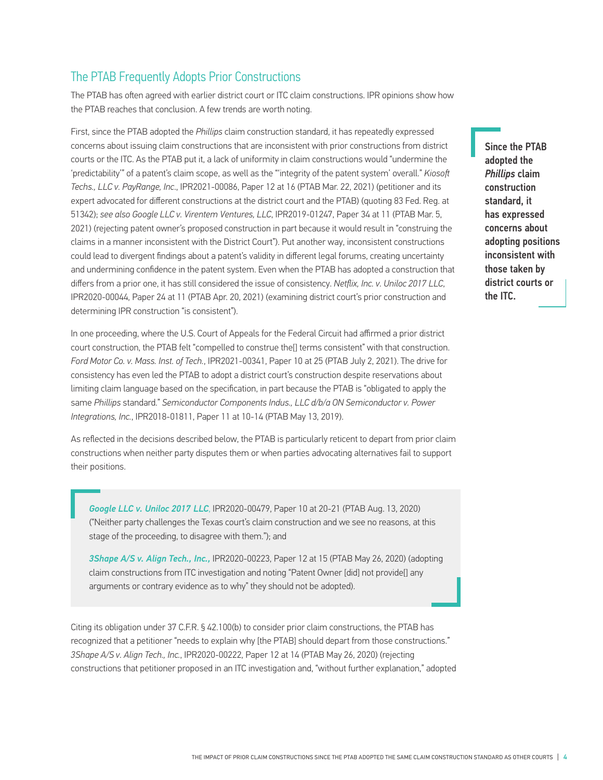# The PTAB Frequently Adopts Prior Constructions

The PTAB has often agreed with earlier district court or ITC claim constructions. IPR opinions show how the PTAB reaches that conclusion. A few trends are worth noting.

First, since the PTAB adopted the *Phillips* claim construction standard, it has repeatedly expressed concerns about issuing claim constructions that are inconsistent with prior constructions from district courts or the ITC. As the PTAB put it, a lack of uniformity in claim constructions would "undermine the 'predictability'" of a patent's claim scope, as well as the "'integrity of the patent system' overall." *Kiosoft Techs., LLC v. PayRange, Inc*., IPR2021-00086, Paper 12 at 16 (PTAB Mar. 22, 2021) (petitioner and its expert advocated for different constructions at the district court and the PTAB) (quoting 83 Fed. Reg. at 51342); *see also Google LLC v. Virentem Ventures, LLC*, IPR2019-01247, Paper 34 at 11 (PTAB Mar. 5, 2021) (rejecting patent owner's proposed construction in part because it would result in "construing the claims in a manner inconsistent with the District Court"). Put another way, inconsistent constructions could lead to divergent findings about a patent's validity in different legal forums, creating uncertainty and undermining confidence in the patent system. Even when the PTAB has adopted a construction that differs from a prior one, it has still considered the issue of consistency. *Netflix, Inc. v. Uniloc 2017 LLC*, IPR2020-00044, Paper 24 at 11 (PTAB Apr. 20, 2021) (examining district court's prior construction and determining IPR construction "is consistent").

In one proceeding, where the U.S. Court of Appeals for the Federal Circuit had affirmed a prior district court construction, the PTAB felt "compelled to construe the[] terms consistent" with that construction. *Ford Motor Co. v. Mass. Inst. of Tech.*, IPR2021-00341, Paper 10 at 25 (PTAB July 2, 2021). The drive for consistency has even led the PTAB to adopt a district court's construction despite reservations about limiting claim language based on the specification, in part because the PTAB is "obligated to apply the same *Phillips* standard." *Semiconductor Components Indus., LLC d/b/a ON Semiconductor v. Power Integrations, Inc.*, IPR2018-01811, Paper 11 at 10-14 (PTAB May 13, 2019).

As reflected in the decisions described below, the PTAB is particularly reticent to depart from prior claim constructions when neither party disputes them or when parties advocating alternatives fail to support their positions.

*Google LLC v. Uniloc 2017 LLC*, IPR2020-00479, Paper 10 at 20-21 (PTAB Aug. 13, 2020) ("Neither party challenges the Texas court's claim construction and we see no reasons, at this stage of the proceeding, to disagree with them."); and

*3Shape A/S v. Align Tech., Inc.,* IPR2020-00223, Paper 12 at 15 (PTAB May 26, 2020) (adopting claim constructions from ITC investigation and noting "Patent Owner [did] not provide[] any arguments or contrary evidence as to why" they should not be adopted).

Citing its obligation under 37 C.F.R. § 42.100(b) to consider prior claim constructions, the PTAB has recognized that a petitioner "needs to explain why [the PTAB] should depart from those constructions." *3Shape A/S v. Align Tech., Inc.*, IPR2020-00222, Paper 12 at 14 (PTAB May 26, 2020) (rejecting constructions that petitioner proposed in an ITC investigation and, "without further explanation," adopted

Since the PTAB adopted the *Phillips* claim construction standard, it has expressed concerns about adopting positions inconsistent with those taken by district courts or the ITC.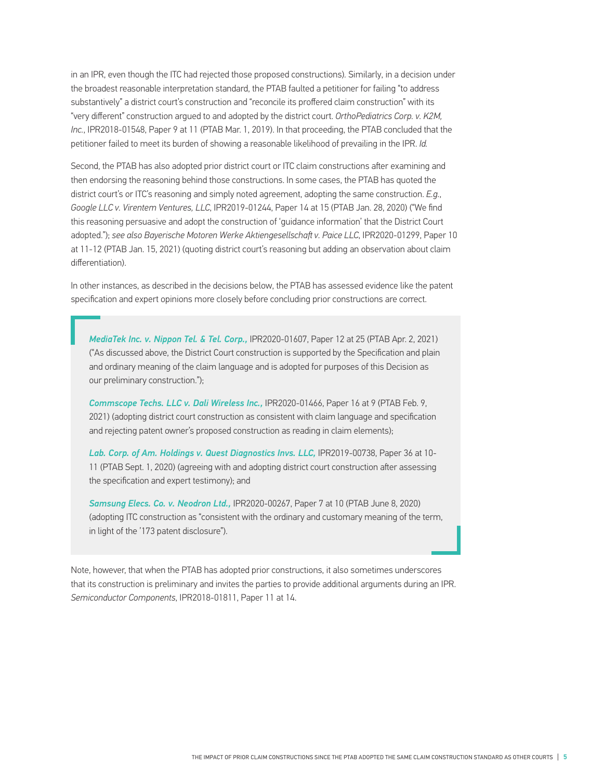in an IPR, even though the ITC had rejected those proposed constructions)*.* Similarly, in a decision under the broadest reasonable interpretation standard, the PTAB faulted a petitioner for failing "to address substantively" a district court's construction and "reconcile its proffered claim construction" with its "very different" construction argued to and adopted by the district court. *OrthoPediatrics Corp. v. K2M, Inc.*, IPR2018-01548, Paper 9 at 11 (PTAB Mar. 1, 2019). In that proceeding, the PTAB concluded that the petitioner failed to meet its burden of showing a reasonable likelihood of prevailing in the IPR. *Id.*

Second, the PTAB has also adopted prior district court or ITC claim constructions after examining and then endorsing the reasoning behind those constructions. In some cases, the PTAB has quoted the district court's or ITC's reasoning and simply noted agreement, adopting the same construction. *E.g.*, *Google LLC v. Virentem Ventures, LLC*, IPR2019-01244, Paper 14 at 15 (PTAB Jan. 28, 2020) ("We find this reasoning persuasive and adopt the construction of 'guidance information' that the District Court adopted."); *see also Bayerische Motoren Werke Aktiengesellschaft v. Paice LLC*, IPR2020-01299, Paper 10 at 11-12 (PTAB Jan. 15, 2021) (quoting district court's reasoning but adding an observation about claim differentiation).

In other instances, as described in the decisions below, the PTAB has assessed evidence like the patent specification and expert opinions more closely before concluding prior constructions are correct.

*MediaTek Inc. v. Nippon Tel. & Tel. Corp.,* IPR2020-01607, Paper 12 at 25 (PTAB Apr. 2, 2021) ("As discussed above, the District Court construction is supported by the Specification and plain and ordinary meaning of the claim language and is adopted for purposes of this Decision as our preliminary construction.");

*Commscope Techs. LLC v. Dali Wireless Inc.,* IPR2020-01466, Paper 16 at 9 (PTAB Feb. 9, 2021) (adopting district court construction as consistent with claim language and specification and rejecting patent owner's proposed construction as reading in claim elements);

*Lab. Corp. of Am. Holdings v. Quest Diagnostics Invs. LLC,* IPR2019-00738, Paper 36 at 10- 11 (PTAB Sept. 1, 2020) (agreeing with and adopting district court construction after assessing the specification and expert testimony); and

*Samsung Elecs. Co. v. Neodron Ltd.,* IPR2020-00267, Paper 7 at 10 (PTAB June 8, 2020) (adopting ITC construction as "consistent with the ordinary and customary meaning of the term, in light of the '173 patent disclosure").

Note, however, that when the PTAB has adopted prior constructions, it also sometimes underscores that its construction is preliminary and invites the parties to provide additional arguments during an IPR. *Semiconductor Components*, IPR2018-01811, Paper 11 at 14.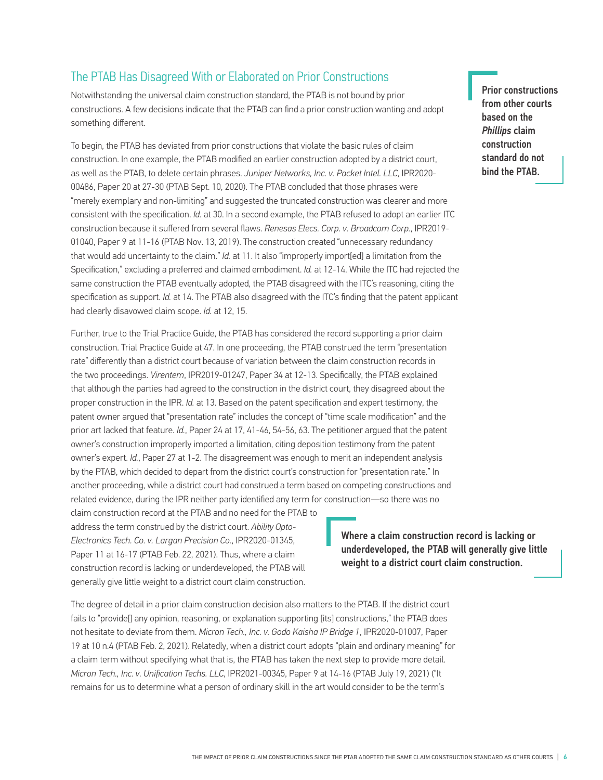# The PTAB Has Disagreed With or Elaborated on Prior Constructions

Notwithstanding the universal claim construction standard, the PTAB is not bound by prior constructions. A few decisions indicate that the PTAB can find a prior construction wanting and adopt something different.

To begin, the PTAB has deviated from prior constructions that violate the basic rules of claim construction. In one example, the PTAB modified an earlier construction adopted by a district court, as well as the PTAB, to delete certain phrases. *Juniper Networks, Inc. v. Packet Intel. LLC*, IPR2020- 00486, Paper 20 at 27-30 (PTAB Sept. 10, 2020). The PTAB concluded that those phrases were "merely exemplary and non-limiting" and suggested the truncated construction was clearer and more consistent with the specification. *Id.* at 30. In a second example, the PTAB refused to adopt an earlier ITC construction because it suffered from several flaws. *Renesas Elecs. Corp. v. Broadcom Corp.*, IPR2019- 01040, Paper 9 at 11-16 (PTAB Nov. 13, 2019). The construction created "unnecessary redundancy that would add uncertainty to the claim." *Id.* at 11. It also "improperly import[ed] a limitation from the Specification," excluding a preferred and claimed embodiment. *Id.* at 12-14. While the ITC had rejected the same construction the PTAB eventually adopted, the PTAB disagreed with the ITC's reasoning, citing the specification as support. *Id.* at 14. The PTAB also disagreed with the ITC's finding that the patent applicant had clearly disavowed claim scope. *Id.* at 12, 15.

Further, true to the Trial Practice Guide, the PTAB has considered the record supporting a prior claim construction. Trial Practice Guide at 47. In one proceeding, the PTAB construed the term "presentation rate" differently than a district court because of variation between the claim construction records in the two proceedings. *Virentem*, IPR2019-01247, Paper 34 at 12-13. Specifically, the PTAB explained that although the parties had agreed to the construction in the district court, they disagreed about the proper construction in the IPR. *Id.* at 13. Based on the patent specification and expert testimony, the patent owner argued that "presentation rate" includes the concept of "time scale modification" and the prior art lacked that feature. *Id.*, Paper 24 at 17, 41-46, 54-56, 63. The petitioner argued that the patent owner's construction improperly imported a limitation, citing deposition testimony from the patent owner's expert. *Id.*, Paper 27 at 1-2. The disagreement was enough to merit an independent analysis by the PTAB, which decided to depart from the district court's construction for "presentation rate." In another proceeding, while a district court had construed a term based on competing constructions and related evidence, during the IPR neither party identified any term for construction—so there was no

claim construction record at the PTAB and no need for the PTAB to address the term construed by the district court. *Ability Opto-Electronics Tech. Co. v. Largan Precision Co.*, IPR2020-01345, Paper 11 at 16-17 (PTAB Feb. 22, 2021). Thus, where a claim construction record is lacking or underdeveloped, the PTAB will generally give little weight to a district court claim construction.

Where a claim construction record is lacking or underdeveloped, the PTAB will generally give little weight to a district court claim construction.

The degree of detail in a prior claim construction decision also matters to the PTAB. If the district court fails to "provide[] any opinion, reasoning, or explanation supporting [its] constructions," the PTAB does not hesitate to deviate from them. *Micron Tech., Inc. v. Godo Kaisha IP Bridge 1*, IPR2020-01007, Paper 19 at 10 n.4 (PTAB Feb. 2, 2021). Relatedly, when a district court adopts "plain and ordinary meaning" for a claim term without specifying what that is, the PTAB has taken the next step to provide more detail. *Micron Tech., Inc. v. Unification Techs. LLC*, IPR2021-00345, Paper 9 at 14-16 (PTAB July 19, 2021) ("It remains for us to determine what a person of ordinary skill in the art would consider to be the term's

Prior constructions from other courts based on the *Phillips* claim construction standard do not bind the PTAB.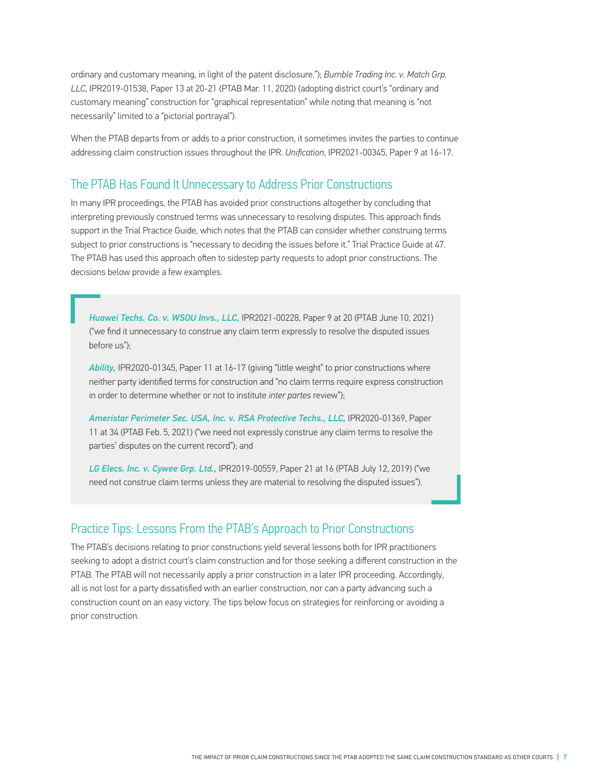ordinary and customary meaning, in light of the patent disclosure."); *Bumble Trading Inc. v. Match Grp. LLC*, IPR2019-01538, Paper 13 at 20-21 (PTAB Mar. 11, 2020) (adopting district court's "ordinary and customary meaning" construction for "graphical representation" while noting that meaning is "not necessarily" limited to a "pictorial portrayal").

When the PTAB departs from or adds to a prior construction, it sometimes invites the parties to continue addressing claim construction issues throughout the IPR. *Unification*, IPR2021-00345, Paper 9 at 16-17.

## The PTAB Has Found It Unnecessary to Address Prior Constructions

In many IPR proceedings, the PTAB has avoided prior constructions altogether by concluding that interpreting previously construed terms was unnecessary to resolving disputes. This approach finds support in the Trial Practice Guide, which notes that the PTAB can consider whether construing terms subject to prior constructions is "necessary to deciding the issues before it." Trial Practice Guide at 47. The PTAB has used this approach often to sidestep party requests to adopt prior constructions. The decisions below provide a few examples.

*Huawei Techs. Co. v. WSOU Invs., LLC,* IPR2021-00228, Paper 9 at 20 (PTAB June 10, 2021) ("we find it unnecessary to construe any claim term expressly to resolve the disputed issues before us");

*Ability,* IPR2020-01345, Paper 11 at 16-17 (giving "little weight" to prior constructions where neither party identified terms for construction and "no claim terms require express construction in order to determine whether or not to institute *inter partes* review");

*Ameristar Perimeter Sec. USA, Inc. v. RSA Protective Techs., LLC,* IPR2020-01369, Paper 11 at 34 (PTAB Feb. 5, 2021) ("we need not expressly construe any claim terms to resolve the parties' disputes on the current record"); and

*LG Elecs. Inc. v. Cywee Grp. Ltd.,* IPR2019-00559, Paper 21 at 16 (PTAB July 12, 2019) ("we need not construe claim terms unless they are material to resolving the disputed issues").

## Practice Tips: Lessons From the PTAB's Approach to Prior Constructions

The PTAB's decisions relating to prior constructions yield several lessons both for IPR practitioners seeking to adopt a district court's claim construction and for those seeking a different construction in the PTAB. The PTAB will not necessarily apply a prior construction in a later IPR proceeding. Accordingly, all is not lost for a party dissatisfied with an earlier construction, nor can a party advancing such a construction count on an easy victory. The tips below focus on strategies for reinforcing or avoiding a prior construction.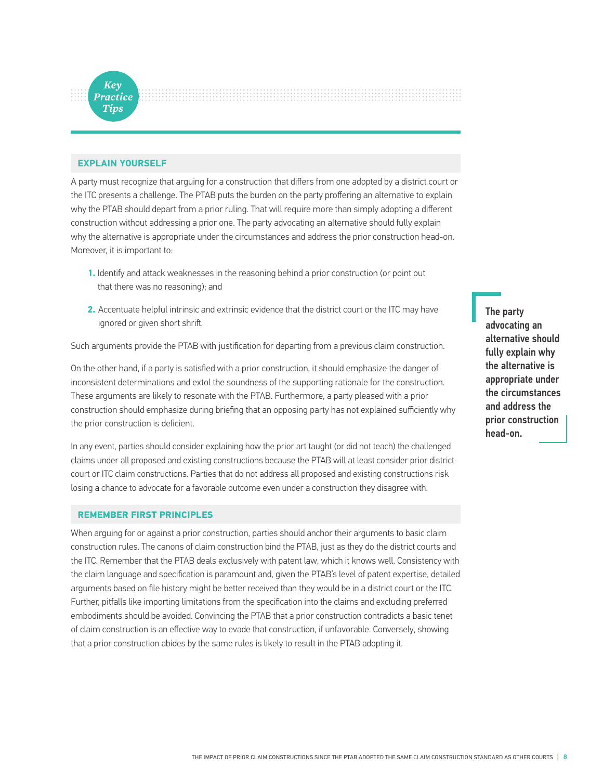

#### **EXPLAIN YOURSELF**

A party must recognize that arguing for a construction that differs from one adopted by a district court or the ITC presents a challenge. The PTAB puts the burden on the party proffering an alternative to explain why the PTAB should depart from a prior ruling. That will require more than simply adopting a different construction without addressing a prior one. The party advocating an alternative should fully explain why the alternative is appropriate under the circumstances and address the prior construction head-on. Moreover, it is important to:

- **1.** Identify and attack weaknesses in the reasoning behind a prior construction (or point out that there was no reasoning); and
- **2.** Accentuate helpful intrinsic and extrinsic evidence that the district court or the ITC may have ignored or given short shrift.

Such arguments provide the PTAB with justification for departing from a previous claim construction.

On the other hand, if a party is satisfied with a prior construction, it should emphasize the danger of inconsistent determinations and extol the soundness of the supporting rationale for the construction. These arguments are likely to resonate with the PTAB. Furthermore, a party pleased with a prior construction should emphasize during briefing that an opposing party has not explained sufficiently why the prior construction is deficient.

In any event, parties should consider explaining how the prior art taught (or did not teach) the challenged claims under all proposed and existing constructions because the PTAB will at least consider prior district court or ITC claim constructions. Parties that do not address all proposed and existing constructions risk losing a chance to advocate for a favorable outcome even under a construction they disagree with.

#### **REMEMBER FIRST PRINCIPLES**

When arguing for or against a prior construction, parties should anchor their arguments to basic claim construction rules. The canons of claim construction bind the PTAB, just as they do the district courts and the ITC. Remember that the PTAB deals exclusively with patent law, which it knows well. Consistency with the claim language and specification is paramount and, given the PTAB's level of patent expertise, detailed arguments based on file history might be better received than they would be in a district court or the ITC. Further, pitfalls like importing limitations from the specification into the claims and excluding preferred embodiments should be avoided. Convincing the PTAB that a prior construction contradicts a basic tenet of claim construction is an effective way to evade that construction, if unfavorable. Conversely, showing that a prior construction abides by the same rules is likely to result in the PTAB adopting it.

The party advocating an alternative should fully explain why the alternative is appropriate under the circumstances and address the prior construction head-on.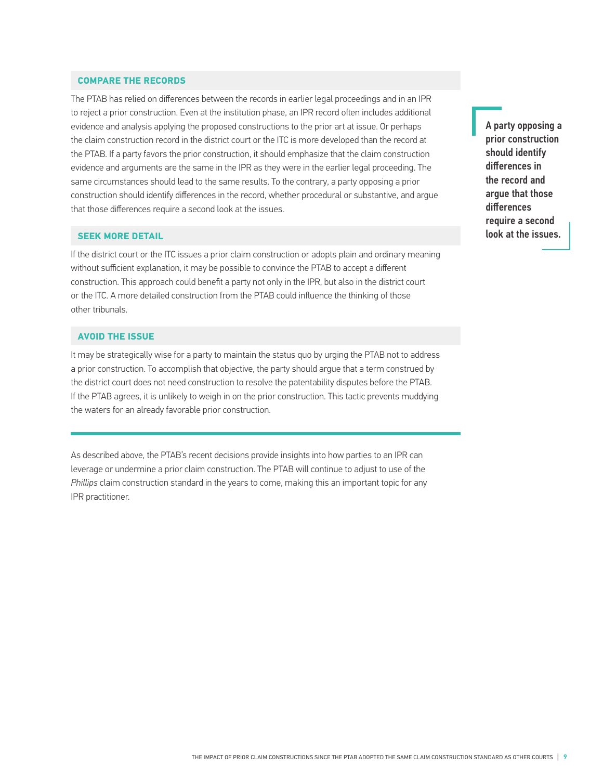#### **COMPARE THE RECORDS**

The PTAB has relied on differences between the records in earlier legal proceedings and in an IPR to reject a prior construction. Even at the institution phase, an IPR record often includes additional evidence and analysis applying the proposed constructions to the prior art at issue. Or perhaps the claim construction record in the district court or the ITC is more developed than the record at the PTAB. If a party favors the prior construction, it should emphasize that the claim construction evidence and arguments are the same in the IPR as they were in the earlier legal proceeding. The same circumstances should lead to the same results. To the contrary, a party opposing a prior construction should identify differences in the record, whether procedural or substantive, and argue that those differences require a second look at the issues.

#### **SEEK MORE DETAIL**

If the district court or the ITC issues a prior claim construction or adopts plain and ordinary meaning without sufficient explanation, it may be possible to convince the PTAB to accept a different construction. This approach could benefit a party not only in the IPR, but also in the district court or the ITC. A more detailed construction from the PTAB could influence the thinking of those other tribunals.

#### **AVOID THE ISSUE**

It may be strategically wise for a party to maintain the status quo by urging the PTAB not to address a prior construction. To accomplish that objective, the party should argue that a term construed by the district court does not need construction to resolve the patentability disputes before the PTAB. If the PTAB agrees, it is unlikely to weigh in on the prior construction. This tactic prevents muddying the waters for an already favorable prior construction.

As described above, the PTAB's recent decisions provide insights into how parties to an IPR can leverage or undermine a prior claim construction. The PTAB will continue to adjust to use of the *Phillips* claim construction standard in the years to come, making this an important topic for any IPR practitioner.

A party opposing a prior construction should identify differences in the record and argue that those differences require a second look at the issues.